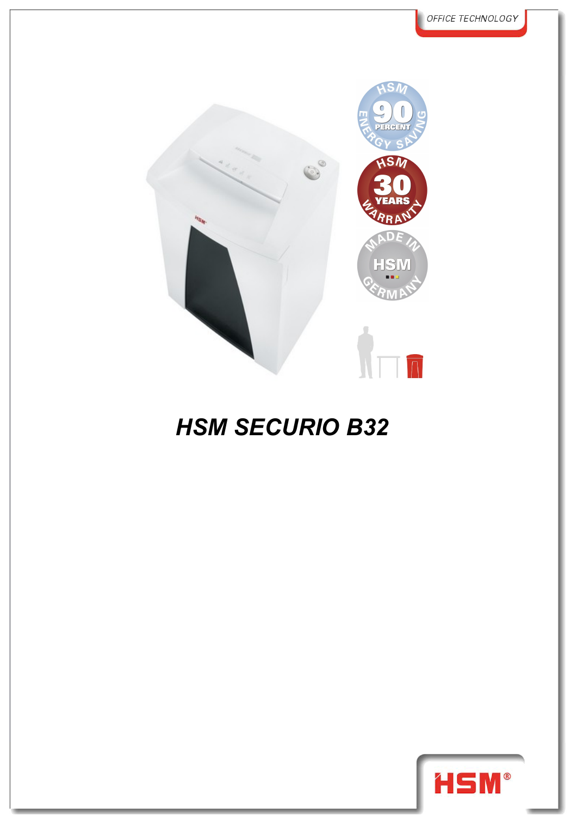

## *HSM SECURIO B32*

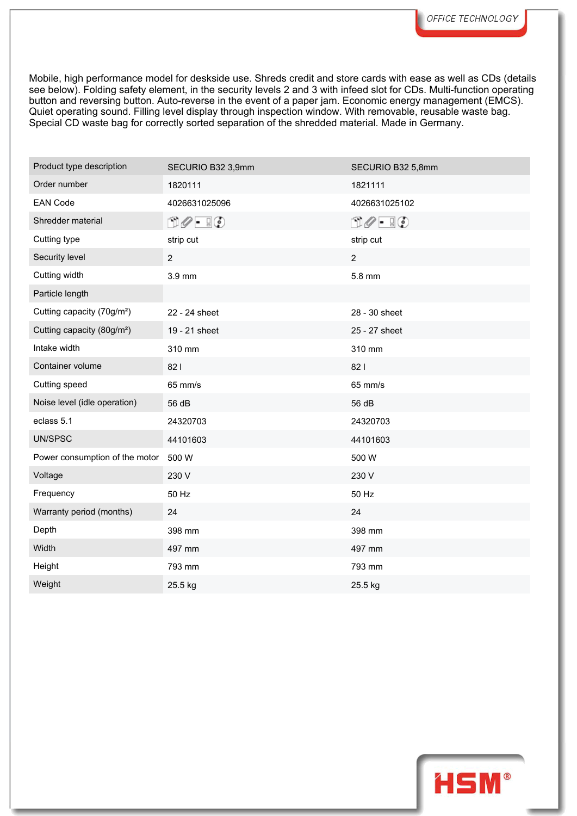Mobile, high performance model for deskside use. Shreds credit and store cards with ease as well as CDs (details see below). Folding safety element, in the security levels 2 and 3 with infeed slot for CDs. Multi-function operating button and reversing button. Auto-reverse in the event of a paper jam. Economic energy management (EMCS). Quiet operating sound. Filling level display through inspection window. With removable, reusable waste bag. Special CD waste bag for correctly sorted separation of the shredded material. Made in Germany.

| Product type description               | SECURIO B32 3,9mm                   | SECURIO B32 5,8mm             |
|----------------------------------------|-------------------------------------|-------------------------------|
| Order number                           | 1820111                             | 1821111                       |
| <b>EAN Code</b>                        | 4026631025096                       | 4026631025102                 |
| Shredder material                      | $\Box \oslash \cdot \ \Box \oslash$ | $\Box \oslash - \Box \oslash$ |
| Cutting type                           | strip cut                           | strip cut                     |
| Security level                         | $\overline{a}$                      | $\overline{2}$                |
| Cutting width                          | 3.9 mm                              | 5.8 mm                        |
| Particle length                        |                                     |                               |
| Cutting capacity (70g/m <sup>2</sup> ) | 22 - 24 sheet                       | 28 - 30 sheet                 |
| Cutting capacity (80g/m <sup>2</sup> ) | 19 - 21 sheet                       | 25 - 27 sheet                 |
| Intake width                           | 310 mm                              | 310 mm                        |
| Container volume                       | 821                                 | 821                           |
| Cutting speed                          | 65 mm/s                             | 65 mm/s                       |
| Noise level (idle operation)           | 56 dB                               | 56 dB                         |
| eclass 5.1                             | 24320703                            | 24320703                      |
| UN/SPSC                                | 44101603                            | 44101603                      |
| Power consumption of the motor         | 500 W                               | 500 W                         |
| Voltage                                | 230 V                               | 230 V                         |
| Frequency                              | 50 Hz                               | 50 Hz                         |
| Warranty period (months)               | 24                                  | 24                            |
| Depth                                  | 398 mm                              | 398 mm                        |
| Width                                  | 497 mm                              | 497 mm                        |
| Height                                 | 793 mm                              | 793 mm                        |
| Weight                                 | 25.5 kg                             | 25.5 kg                       |

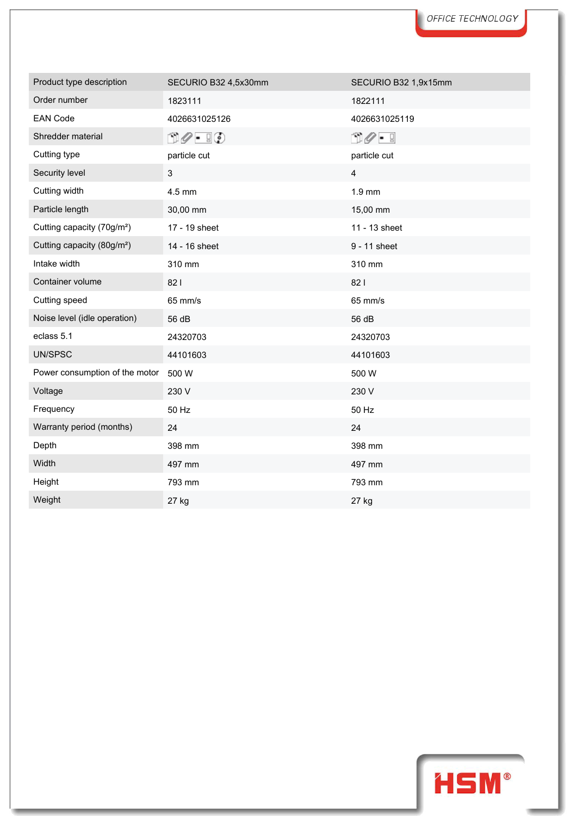| Product type description               | SECURIO B32 4,5x30mm          | SECURIO B32 1,9x15mm            |
|----------------------------------------|-------------------------------|---------------------------------|
| Order number                           | 1823111                       | 1822111                         |
| <b>EAN Code</b>                        | 4026631025126                 | 4026631025119                   |
| Shredder material                      | $\Box \oslash - \Box \oslash$ | $\cap$ $\mathscr{O}$ $\vdash$ 9 |
| Cutting type                           | particle cut                  | particle cut                    |
| Security level                         | $\mathsf 3$                   | $\overline{4}$                  |
| Cutting width                          | 4.5 mm                        | $1.9$ mm                        |
| Particle length                        | 30,00 mm                      | 15,00 mm                        |
| Cutting capacity (70g/m <sup>2</sup> ) | 17 - 19 sheet                 | 11 - 13 sheet                   |
| Cutting capacity (80g/m <sup>2</sup> ) | 14 - 16 sheet                 | 9 - 11 sheet                    |
| Intake width                           | 310 mm                        | 310 mm                          |
| Container volume                       | 821                           | 821                             |
| Cutting speed                          | 65 mm/s                       | 65 mm/s                         |
| Noise level (idle operation)           | 56 dB                         | 56 dB                           |
| eclass 5.1                             | 24320703                      | 24320703                        |
| UN/SPSC                                | 44101603                      | 44101603                        |
| Power consumption of the motor         | 500 W                         | 500 W                           |
| Voltage                                | 230 V                         | 230 V                           |
| Frequency                              | 50 Hz                         | 50 Hz                           |
| Warranty period (months)               | 24                            | 24                              |
| Depth                                  | 398 mm                        | 398 mm                          |
| Width                                  | 497 mm                        | 497 mm                          |
| Height                                 | 793 mm                        | 793 mm                          |
| Weight                                 | 27 kg                         | 27 kg                           |